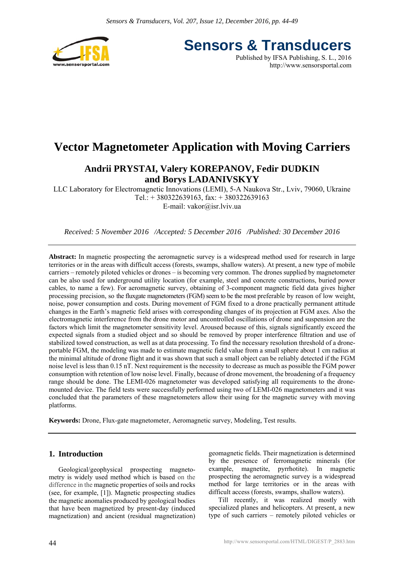

**Sensors & Transducers** Published by IFSA Publishing, S. L., 2016

http://www.sensorsportal.com

# **Vector Magnetometer Application with Moving Carriers**

# **Andrii PRYSTAI, Valery KOREPANOV, Fedir DUDKIN and Borys LADANIVSKYY**

LLC Laboratory for Electromagnetic Innovations (LEMI), 5-A Naukova Str., Lviv, 79060, Ukraine Tel.: + 380322639163, fax: + 380322639163 E-mail: vakor@isr.lviv.ua

*Received: 5 November 2016 /Accepted: 5 December 2016 /Published: 30 December 2016* 

**Abstract:** In magnetic prospecting the aeromagnetic survey is a widespread method used for research in large territories or in the areas with difficult access (forests, swamps, shallow waters). At present, a new type of mobile carriers – remotely piloted vehicles or drones – is becoming very common. The drones supplied by magnetometer can be also used for underground utility location (for example, steel and concrete constructions, buried power cables, to name a few). For aeromagnetic survey, obtaining of 3-component magnetic field data gives higher processing precision, so the fluxgate magnetometers (FGM) seem to be the most preferable by reason of low weight, noise, power consumption and costs. During movement of FGM fixed to a drone practically permanent attitude changes in the Earth's magnetic field arises with corresponding changes of its projection at FGM axes. Also the electromagnetic interference from the drone motor and uncontrolled oscillations of drone and suspension are the factors which limit the magnetometer sensitivity level. Aroused because of this, signals significantly exceed the expected signals from a studied object and so should be removed by proper interference filtration and use of stabilized towed construction, as well as at data processing. To find the necessary resolution threshold of a droneportable FGM, the modeling was made to estimate magnetic field value from a small sphere about 1 cm radius at the minimal altitude of drone flight and it was shown that such a small object can be reliably detected if the FGM noise level is less than 0.15 nT. Next requirement is the necessity to decrease as much as possible the FGM power consumption with retention of low noise level. Finally, because of drone movement, the broadening of a frequency range should be done. The LEMI-026 magnetometer was developed satisfying all requirements to the dronemounted device. The field tests were successfully performed using two of LEMI-026 magnetometers and it was concluded that the parameters of these magnetometers allow their using for the magnetic survey with moving platforms.

**Keywords:** Drone, Flux-gate magnetometer, Aeromagnetic survey, Modeling, Test results.

# **1. Introduction**

Geological/geophysical prospecting magnetometry is widely used method which is based on the difference in the magnetic properties of soils and rocks (see, for example, [1]). Magnetic prospecting studies the magnetic anomalies produced by geological bodies that have been magnetized by present-day (induced magnetization) and ancient (residual magnetization) geomagnetic fields. Their magnetization is determined by the presence of ferromagnetic minerals (for example, magnetite, pyrrhotite). In magnetic prospecting the aeromagnetic survey is a widespread method for large territories or in the areas with difficult access (forests, swamps, shallow waters).

Till recently, it was realized mostly with specialized planes and helicopters. At present, a new type of such carriers – remotely piloted vehicles or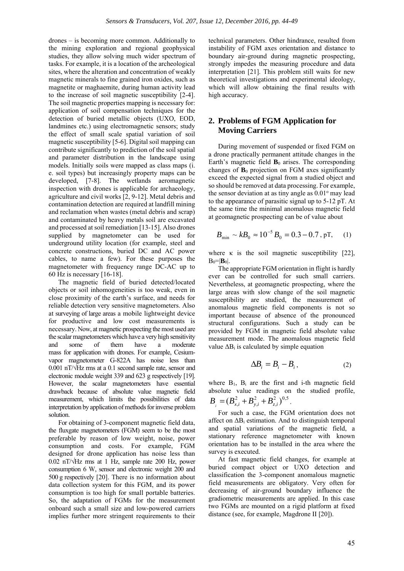drones – is becoming more common. Additionally to the mining exploration and regional geophysical studies, they allow solving much wider spectrum of tasks. For example, it is a location of the archeological sites, where the alteration and concentration of weakly magnetic minerals to fine grained iron oxides, such as magnetite or maghaemite, during human activity lead to the increase of soil magnetic susceptibility [2-4]. The soil magnetic properties mapping is necessary for: application of soil compensation techniques for the detection of buried metallic objects (UXO, EOD, landmines etc.) using electromagnetic sensors; study the effect of small scale spatial variation of soil magnetic susceptibility [5-6]. Digital soil mapping can contribute significantly to prediction of the soil spatial and parameter distribution in the landscape using models. Initially soils were mapped as class maps (i. e. soil types) but increasingly property maps can be developed, [7-8]. The wetlands aeromagnetic inspection with drones is applicable for archaeology, agriculture and civil works [2, 9-12]. Metal debris and contamination detection are required at landfill mining and reclamation when wastes (metal debris and scrap) and contaminated by heavy metals soil are excavated and processed at soil remediation [13-15]. Also drones supplied by magnetometer can be used for underground utility location (for example, steel and concrete constructions, buried DC and AC power cables, to name a few). For these purposes the magnetometer with frequency range DC-AC up to 60 Hz is necessary [16-18].

The magnetic field of buried detected/located objects or soil inhomogeneities is too weak, even in close proximity of the earth's surface, and needs for reliable detection very sensitive magnetometers. Also at surveying of large areas a mobile lightweight device for productive and low cost measurements is necessary. Now, at magnetic prospecting the most used are the scalar magnetometers which have a very high sensitivity and some of them have a moderate mass for application with drones. For example, Cesiumvapor magnetometer G-822A has noise less than 0.001 nT/√Hz rms at a 0.1 second sample rate, sensor and electronic module weight 339 and 623 g respectively [19]. However, the scalar magnetometers have essential drawback because of absolute value magnetic field measurement, which limits the possibilities of data interpretation by application of methods for inverse problem solution.

For obtaining of 3-component magnetic field data, the fluxgate magnetometers (FGM) seem to be the most preferable by reason of low weight, noise, power consumption and costs. For example, FGM designed for drone application has noise less than 0.02 nT/√Hz rms at 1 Hz, sample rate 200 Hz, power consumption 6 W, sensor and electronic weight 200 and 500 g respectively [20]. There is no information about data collection system for this FGM, and its power consumption is too high for small portable batteries. So, the adaptation of FGMs for the measurement onboard such a small size and low-powered carriers implies further more stringent requirements to their

technical parameters. Other hindrance, resulted from instability of FGM axes orientation and distance to boundary air-ground during magnetic prospecting, strongly impedes the measuring procedure and data interpretation [21]. This problem still waits for new theoretical investigations and experimental ideology, which will allow obtaining the final results with high accuracy.

# **2. Problems of FGM Application for Moving Carriers**

During movement of suspended or fixed FGM on a drone practically permanent attitude changes in the Earth's magnetic field  $\mathbf{B}_0$  arises. The corresponding changes of **B**0 projection on FGM axes significantly exceed the expected signal from a studied object and so should be removed at data processing. For example, the sensor deviation at as tiny angle as  $0.01^\circ$  may lead to the appearance of parasitic signal up to 5-12 pT. At the same time the minimal anomalous magnetic field at geomagnetic prospecting can be of value about

$$
B_{\min} \sim k B_0 \approx 10^{-5} B_0 = 0.3 - 0.7, \text{pT}, \quad (1)
$$

where  $\kappa$  is the soil magnetic susceptibility [22],  $B_0=|B_0|$ .

The appropriate FGM orientation in flight is hardly ever can be controlled for such small carriers. Nevertheless, at geomagnetic prospecting, where the large areas with slow change of the soil magnetic susceptibility are studied, the measurement of anomalous magnetic field components is not so important because of absence of the pronounced structural configurations. Such a study can be provided by FGM in magnetic field absolute value measurement mode. The anomalous magnetic field value  $\Delta B_i$  is calculated by simple equation

$$
\Delta B_i = B_i - B_i, \qquad (2)
$$

where  $B_1$ ,  $B_i$  are the first and i-th magnetic field absolute value readings on the studied profile,  $2 \sqrt{0.5}$ , 2 ,  $B_i = (B_{x,i}^2 + B_{y,i}^2 + B_{z,i}^2)^{0.5}$ .

For such a case, the FGM orientation does not affect on ΔBi estimation. And to distinguish temporal and spatial variations of the magnetic field, a stationary reference magnetometer with known orientation has to be installed in the area where the survey is executed.

At fast magnetic field changes, for example at buried compact object or UXO detection and classification the 3-component anomalous magnetic field measurements are obligatory. Very often for decreasing of air-ground boundary influence the gradiometric measurements are applied. In this case two FGMs are mounted on a rigid platform at fixed distance (see, for example, Magdrone II [20]).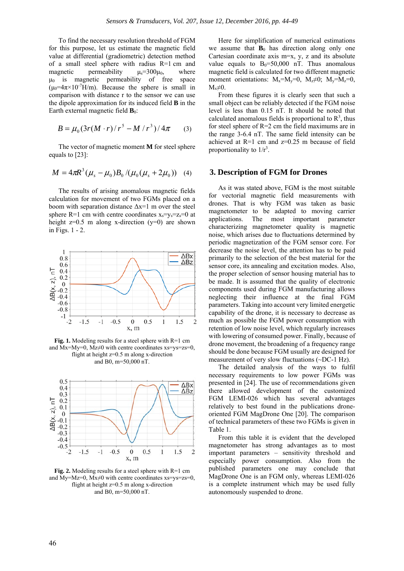To find the necessary resolution threshold of FGM for this purpose, let us estimate the magnetic field value at differential (gradiometric) detection method of a small steel sphere with radius R=1 cm and magnetic permeability  $\mu_s = 300\mu_0$ , where μ0 is magnetic permeability of free space  $(\mu_0=4\pi\times10^{-7}H/m)$ . Because the sphere is small in comparison with distance r to the sensor we can use the dipole approximation for its induced field **B** in the Earth external magnetic field  $\mathbf{B}_0$ :

$$
B = \mu_0 (3r(M \cdot r)/r^5 - M/r^3)/4\pi \qquad (3)
$$

The vector of magnetic moment **M** for steel sphere equals to [23]:

$$
M = 4\pi R^3 (\mu_s - \mu_0) B_0 / (\mu_0 (\mu_s + 2\mu_0))
$$
 (4)

The results of arising anomalous magnetic fields calculation for movement of two FGMs placed on a boom with separation distance  $\Delta x=1$  m over the steel sphere R=1 cm with centre coordinates  $x_s = v_s = z_s = 0$  at height  $z=0.5$  m along x-direction  $(y=0)$  are shown in Figs. 1 - 2.



**Fig. 1.** Modeling results for a steel sphere with R=1 cm and Mx=My=0, Mz $\neq$ 0 with centre coordinates xs=ys=zs=0, flight at height z=0.5 m along x-direction and B0, m=50,000 nT.



**Fig. 2.** Modeling results for a steel sphere with R=1 cm and My=Mz=0, Mx $\neq$ 0 with centre coordinates xs=ys=zs=0, flight at height z=0.5 m along x-direction and B0, m=50,000 nT.

Here for simplification of numerical estimations we assume that  $\mathbf{B}_0$  has direction along only one Cartesian coordinate axis  $m=x$ , y, z and its absolute value equals to  $B_0 = 50,000$  nT. Thus anomalous magnetic field is calculated for two different magnetic moment orientations:  $M_x=M_y=0$ ,  $M_z\neq 0$ ;  $M_y=M_z=0$ ,  $M<sub>x</sub>\neq 0$ .

From these figures it is clearly seen that such a small object can be reliably detected if the FGM noise level is less than 0.15 nT. It should be noted that calculated anomalous fields is proportional to  $\mathbb{R}^3$ , thus for steel sphere of R=2 cm the field maximums are in the range 3-6.4 nT. The same field intensity can be achieved at R=1 cm and z=0.25 m because of field proportionality to  $1/r<sup>3</sup>$ .

#### **3. Description of FGM for Drones**

As it was stated above, FGM is the most suitable for vectorial magnetic field measurements with drones. That is why FGM was taken as basic magnetometer to be adapted to moving carrier applications. The most important parameter characterizing magnetometer quality is magnetic noise, which arises due to fluctuations determined by periodic magnetization of the FGM sensor core. For decrease the noise level, the attention has to be paid primarily to the selection of the best material for the sensor core, its annealing and excitation modes. Also, the proper selection of sensor housing material has to be made. It is assumed that the quality of electronic components used during FGM manufacturing allows neglecting their influence at the final FGM parameters. Taking into account very limited energetic capability of the drone, it is necessary to decrease as much as possible the FGM power consumption with retention of low noise level, which regularly increases with lowering of consumed power. Finally, because of drone movement, the broadening of a frequency range should be done because FGM usually are designed for measurement of very slow fluctuations (~DC-1 Hz).

The detailed analysis of the ways to fulfil necessary requirements to low power FGMs was presented in [24]. The use of recommendations given there allowed development of the customized FGM LEMI-026 which has several advantages relatively to best found in the publications droneoriented FGM MagDrone One [20]. The comparison of technical parameters of these two FGMs is given in Table 1.

From this table it is evident that the developed magnetometer has strong advantages as to most important parameters – sensitivity threshold and especially power consumption. Also from the published parameters one may conclude that MagDrone One is an FGM only, whereas LEMI-026 is a complete instrument which may be used fully autonomously suspended to drone.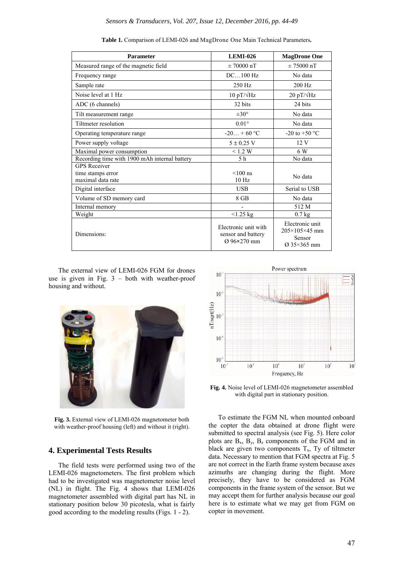| <b>Parameter</b>                                              | <b>LEMI-026</b>                                           | <b>MagDrone One</b>                                                                   |
|---------------------------------------------------------------|-----------------------------------------------------------|---------------------------------------------------------------------------------------|
| Measured range of the magnetic field                          | $\pm 70000$ nT                                            | $\pm 75000$ nT                                                                        |
| Frequency range                                               | DC100 Hz                                                  | No data                                                                               |
| Sample rate                                                   | 250 Hz                                                    | $200$ Hz                                                                              |
| Noise level at 1 Hz                                           | 10 pT/ $\sqrt{\text{Hz}}$                                 | 20 pT/ $\sqrt{\text{Hz}}$                                                             |
| ADC (6 channels)                                              | 32 bits                                                   | 24 bits                                                                               |
| Tilt measurement range                                        | $\pm 30^{\circ}$                                          | No data                                                                               |
| Tiltmeter resolution                                          | $0.01^{\circ}$                                            | No data                                                                               |
| Operating temperature range                                   | $-20 + 60$ °C                                             | -20 to +50 $^{\circ}$ C                                                               |
| Power supply voltage                                          | $5 \pm 0.25$ V                                            | 12 V                                                                                  |
| Maximal power consumption                                     | < 1.2 W                                                   | 6 W                                                                                   |
| Recording time with 1900 mAh internal battery                 | 5 <sub>h</sub>                                            | No data                                                                               |
| <b>GPS Receiver</b><br>time stamps error<br>maximal data rate | $< 100$ ns<br>10 <sub>Hz</sub>                            | No data                                                                               |
| Digital interface                                             | <b>USB</b>                                                | Serial to USB                                                                         |
| Volume of SD memory card                                      | 8 GB                                                      | No data                                                                               |
| Internal memory                                               |                                                           | 512 M                                                                                 |
| Weight                                                        | < 1.25 kg                                                 | $0.7$ kg                                                                              |
| Dimensions:                                                   | Electronic unit with<br>sensor and battery<br>Ø 96×270 mm | Electronic unit<br>$205 \times 105 \times 45$ mm<br>Sensor<br>$\varnothing$ 35×365 mm |

**Table 1.** Comparison of LEMI-026 and MagDrone One Main Technical Parameters**.**

The external view of LEMI-026 FGM for drones use is given in Fig.  $3 -$  both with weather-proof housing and without.



**Fig. 3.** External view of LEMI-026 magnetometer both with weather-proof housing (left) and without it (right).

# **4. Experimental Tests Results**

The field tests were performed using two of the LEMI-026 magnetometers. The first problem which had to be investigated was magnetometer noise level (NL) in flight. The Fig. 4 shows that LEMI-026 magnetometer assembled with digital part has NL in stationary position below 30 picotesla, what is fairly good according to the modeling results (Figs. 1 - 2).



**Fig. 4.** Noise level of LEMI-026 magnetometer assembled with digital part in stationary position.

To estimate the FGM NL when mounted onboard the copter the data obtained at drone flight were submitted to spectral analysis (see Fig. 5). Here color plots are  $B_x$ ,  $B_y$ ,  $B_z$  components of the FGM and in black are given two components  $T<sub>x</sub>$ , Ty of tiltmeter data. Necessary to mention that FGM spectra at Fig. 5 are not correct in the Earth frame system because axes azimuths are changing during the flight. More precisely, they have to be considered as FGM components in the frame system of the sensor. But we may accept them for further analysis because our goal here is to estimate what we may get from FGM on copter in movement.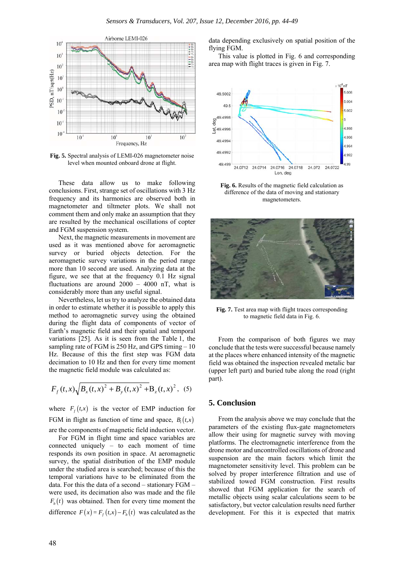

**Fig. 5.** Spectral analysis of LEMI-026 magnetometer noise level when mounted onboard drone at flight.

These data allow us to make following conclusions. First, strange set of oscillations with 3 Hz frequency and its harmonics are observed both in magnetometer and tiltmeter plots. We shall not comment them and only make an assumption that they are resulted by the mechanical oscillations of copter and FGM suspension system.

Next, the magnetic measurements in movement are used as it was mentioned above for aeromagnetic survey or buried objects detection. For the aeromagnetic survey variations in the period range more than 10 second are used. Analyzing data at the figure, we see that at the frequency 0.1 Hz signal fluctuations are around  $2000 - 4000$  nT, what is considerably more than any useful signal.

Nevertheless, let us try to analyze the obtained data in order to estimate whether it is possible to apply this method to aeromagnetic survey using the obtained during the flight data of components of vector of Earth's magnetic field and their spatial and temporal variations [25]. As it is seen from the Table 1, the sampling rate of FGM is 250 Hz, and GPS timing – 10 Hz. Because of this the first step was FGM data decimation to 10 Hz and then for every time moment the magnetic field module was calculated as:

$$
F_f(t,x)\sqrt{B_x(t,x)^2 + B_y(t,x)^2 + B_z(t,x)^2},
$$
 (5)

where  $F_t(t,x)$  is the vector of EMP induction for FGM in flight as function of time and space,  $B_i(t, x)$ are the components of magnetic field induction vector.

For FGM in flight time and space variables are connected uniquely – to each moment of time responds its own position in space. At aeromagnetic survey, the spatial distribution of the EMP module under the studied area is searched; because of this the temporal variations have to be eliminated from the data. For this the data of a second – stationary FGM – were used, its decimation also was made and the file  $F<sub>b</sub>(t)$  was obtained. Then for every time moment the difference  $F(x) = F_f(t, x) - F_b(t)$  was calculated as the data depending exclusively on spatial position of the flying FGM.

This value is plotted in Fig. 6 and corresponding area map with flight traces is given in Fig. 7.



**Fig. 6.** Results of the magnetic field calculation as difference of the data of moving and stationary magnetometers.



**Fig. 7.** Test area map with flight traces corresponding to magnetic field data in Fig. 6.

From the comparison of both figures we may conclude that the tests were successful because namely at the places where enhanced intensity of the magnetic field was obtained the inspection revealed metalic bar (upper left part) and buried tube along the road (right part).

### **5. Conclusion**

From the analysis above we may conclude that the parameters of the existing flux-gate magnetometers allow their using for magnetic survey with moving platforms. The electromagnetic interference from the drone motor and uncontrolled oscillations of drone and suspension are the main factors which limit the magnetometer sensitivity level. This problem can be solved by proper interference filtration and use of stabilized towed FGM construction. First results showed that FGM application for the search of metallic objects using scalar calculations seem to be satisfactory, but vector calculation results need further development. For this it is expected that matrix